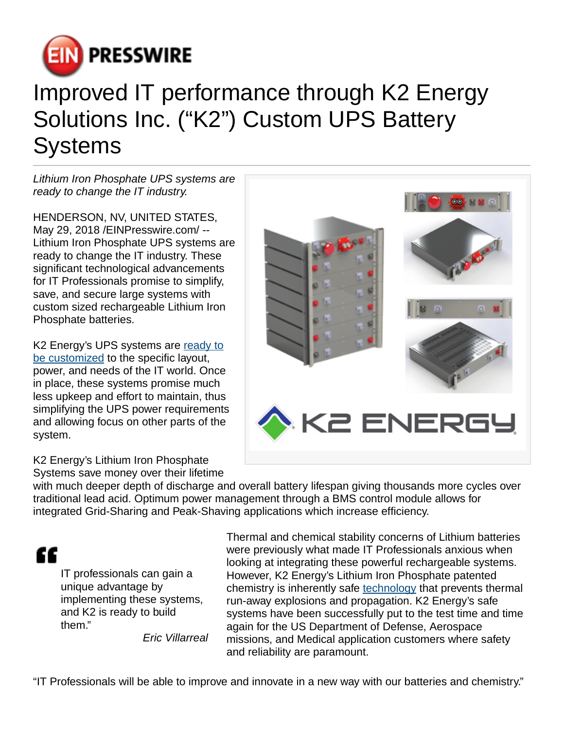

## Improved IT performance through K2 Energy Solutions Inc. ("K2") Custom UPS Battery **Systems**

Lithium Iron Phosphate UPS systems are ready to change the IT industry.

HENDERSON, NV, UNITED STATES, May 29, 2018 [/EINPresswire.com](http://www.einpresswire.com)/ -- Lithium Iron Phosphate UPS systems are ready to change the IT industry. These significant technological advancements for IT Professionals promise to simplify, save, and secure large systems with custom sized rechargeable Lithium Iron Phosphate batteries.

K2 Energy's UPS systems are [ready to](https://k2battery.com/customize-your-battery/) [be customized](https://k2battery.com/customize-your-battery/) to the specific layout, power, and needs of the IT world. Once in place, these systems promise much less upkeep and effort to maintain, thus simplifying the UPS power requirements and allowing focus on other parts of the system.



K2 Energy's Lithium Iron Phosphate Systems save money over their lifetime

with much deeper depth of discharge and overall battery lifespan giving thousands more cycles over traditional lead acid. Optimum power management through a BMS control module allows for integrated Grid-Sharing and Peak-Shaving applications which increase efficiency.



IT professionals can gain a unique advantage by implementing these systems, and K2 is ready to build them."

Eric Villarreal

Thermal and chemical stability concerns of Lithium batteries were previously what made IT Professionals anxious when looking at integrating these powerful rechargeable systems. However, K2 Energy's Lithium Iron Phosphate patented chemistry is inherently safe [technology](https://k2battery.com/technology/) that prevents thermal run-away explosions and propagation. K2 Energy's safe systems have been successfully put to the test time and time again for the US Department of Defense, Aerospace missions, and Medical application customers where safety and reliability are paramount.

"IT Professionals will be able to improve and innovate in a new way with our batteries and chemistry."